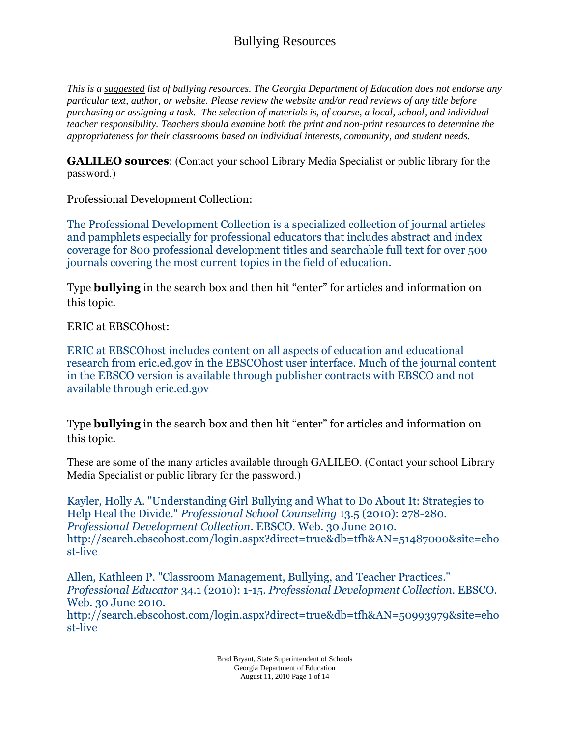*This is a suggested list of bullying resources. The Georgia Department of Education does not endorse any particular text, author, or website. Please review the website and/or read reviews of any title before purchasing or assigning a task. The selection of materials is, of course, a local, school, and individual teacher responsibility. Teachers should examine both the print and non-print resources to determine the appropriateness for their classrooms based on individual interests, community, and student needs.*

**GALILEO sources**: (Contact your school Library Media Specialist or public library for the password.)

Professional Development Collection:

The Professional Development Collection is a specialized collection of journal articles and pamphlets especially for professional educators that includes abstract and index coverage for 800 professional development titles and searchable full text for over 500 journals covering the most current topics in the field of education.

Type **bullying** in the search box and then hit "enter" for articles and information on this topic.

ERIC at EBSCOhost:

ERIC at EBSCOhost includes content on all aspects of education and educational research from eric.ed.gov in the EBSCOhost user interface. Much of the journal content in the EBSCO version is available through publisher contracts with EBSCO and not available through eric.ed.gov

Type **bullying** in the search box and then hit "enter" for articles and information on this topic.

These are some of the many articles available through GALILEO. (Contact your school Library Media Specialist or public library for the password.)

Kayler, Holly A. "Understanding Girl Bullying and What to Do About It: Strategies to Help Heal the Divide." *Professional School Counseling* 13.5 (2010): 278-280. *Professional Development Collection*. EBSCO. Web. 30 June 2010. http://search.ebscohost.com/login.aspx?direct=true&db=tfh&AN=51487000&site=eho st-live

Allen, Kathleen P. "Classroom Management, Bullying, and Teacher Practices." *Professional Educator* 34.1 (2010): 1-15. *Professional Development Collection*. EBSCO. Web. 30 June 2010. http://search.ebscohost.com/login.aspx?direct=true&db=tfh&AN=50993979&site=eho

st-live

Brad Bryant, State Superintendent of Schools Georgia Department of Education August 11, 2010 Page 1 of 14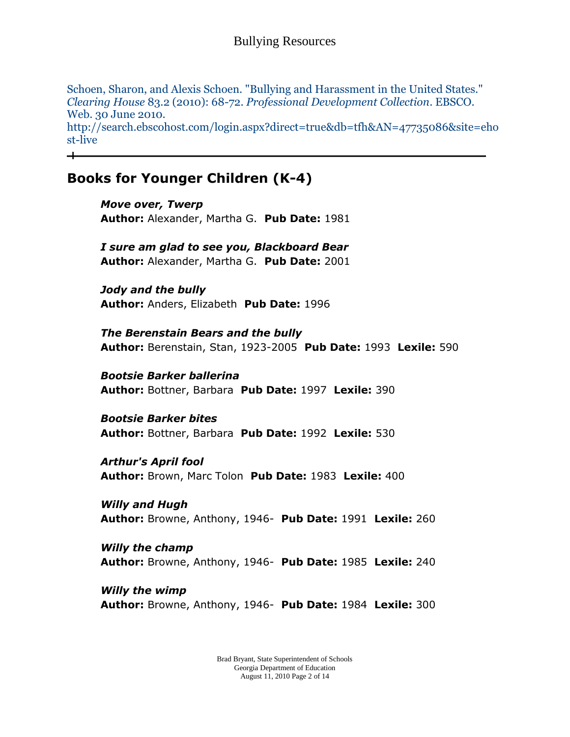Schoen, Sharon, and Alexis Schoen. "Bullying and Harassment in the United States." *Clearing House* 83.2 (2010): 68-72. *Professional Development Collection*. EBSCO. Web. 30 June 2010. http://search.ebscohost.com/login.aspx?direct=true&db=tfh&AN=47735086&site=eho st-live

## **Books for Younger Children (K-4)**

*Move over, Twerp* **Author:** Alexander, Martha G. **Pub Date:** 1981

*I sure am glad to see you, Blackboard Bear* **Author:** Alexander, Martha G. **Pub Date:** 2001

*Jody and the bully* **Author:** Anders, Elizabeth **Pub Date:** 1996

*The Berenstain Bears and the bully* **Author:** Berenstain, Stan, 1923-2005 **Pub Date:** 1993 **Lexile:** 590

# *Bootsie Barker ballerina*

**Author:** Bottner, Barbara **Pub Date:** 1997 **Lexile:** 390

#### *Bootsie Barker bites*

**Author:** Bottner, Barbara **Pub Date:** 1992 **Lexile:** 530

#### *Arthur's April fool* **Author:** Brown, Marc Tolon **Pub Date:** 1983 **Lexile:** 400

*Willy and Hugh* **Author:** Browne, Anthony, 1946- **Pub Date:** 1991 **Lexile:** 260

## *Willy the champ* **Author:** Browne, Anthony, 1946- **Pub Date:** 1985 **Lexile:** 240

*Willy the wimp* **Author:** Browne, Anthony, 1946- **Pub Date:** 1984 **Lexile:** 300

> Brad Bryant, State Superintendent of Schools Georgia Department of Education August 11, 2010 Page 2 of 14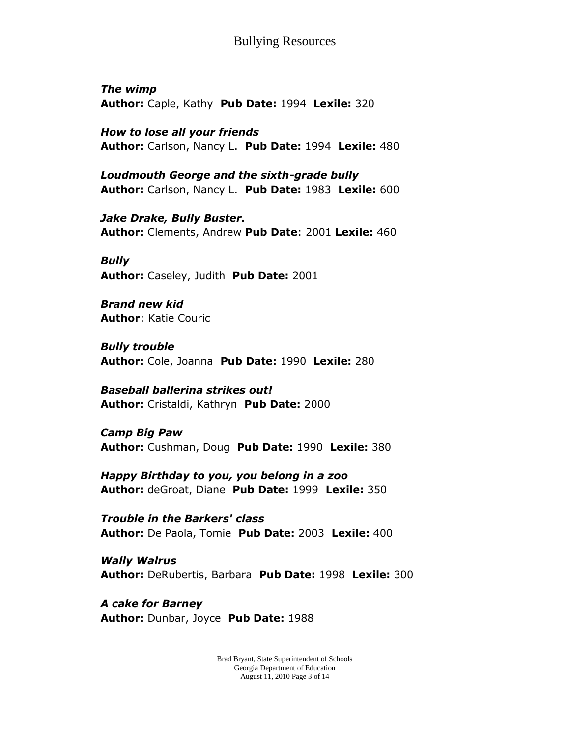*The wimp* **Author:** Caple, Kathy **Pub Date:** 1994 **Lexile:** 320

*How to lose all your friends* **Author:** Carlson, Nancy L. **Pub Date:** 1994 **Lexile:** 480

*Loudmouth George and the sixth-grade bully* **Author:** Carlson, Nancy L. **Pub Date:** 1983 **Lexile:** 600

*Jake Drake, Bully Buster.* **Author:** Clements, Andrew **Pub Date**: 2001 **Lexile:** 460

*Bully* **Author:** Caseley, Judith **Pub Date:** 2001

*Brand new kid* **Author**: Katie Couric

*Bully trouble* **Author:** Cole, Joanna **Pub Date:** 1990 **Lexile:** 280

*Baseball ballerina strikes out!* **Author:** Cristaldi, Kathryn **Pub Date:** 2000

*Camp Big Paw* **Author:** Cushman, Doug **Pub Date:** 1990 **Lexile:** 380

*Happy Birthday to you, you belong in a zoo* **Author:** deGroat, Diane **Pub Date:** 1999 **Lexile:** 350

*Trouble in the Barkers' class* **Author:** De Paola, Tomie **Pub Date:** 2003 **Lexile:** 400

*Wally Walrus* **Author:** DeRubertis, Barbara **Pub Date:** 1998 **Lexile:** 300

*A cake for Barney* **Author:** Dunbar, Joyce **Pub Date:** 1988

> Brad Bryant, State Superintendent of Schools Georgia Department of Education August 11, 2010 Page 3 of 14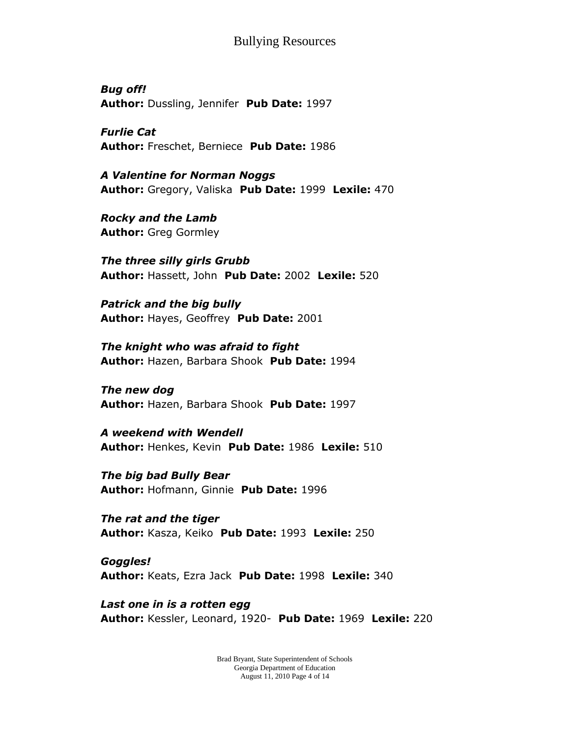*Bug off!* **Author:** Dussling, Jennifer **Pub Date:** 1997

*Furlie Cat* **Author:** Freschet, Berniece **Pub Date:** 1986

*A Valentine for Norman Noggs* **Author:** Gregory, Valiska **Pub Date:** 1999 **Lexile:** 470

*Rocky and the Lamb* **Author:** Greg Gormley

*The three silly girls Grubb* **Author:** Hassett, John **Pub Date:** 2002 **Lexile:** 520

*Patrick and the big bully* **Author:** Hayes, Geoffrey **Pub Date:** 2001

*The knight who was afraid to fight* **Author:** Hazen, Barbara Shook **Pub Date:** 1994

*The new dog* **Author:** Hazen, Barbara Shook **Pub Date:** 1997

*A weekend with Wendell* **Author:** Henkes, Kevin **Pub Date:** 1986 **Lexile:** 510

*The big bad Bully Bear* **Author:** Hofmann, Ginnie **Pub Date:** 1996

*The rat and the tiger* **Author:** Kasza, Keiko **Pub Date:** 1993 **Lexile:** 250

*Goggles!* **Author:** Keats, Ezra Jack **Pub Date:** 1998 **Lexile:** 340

*Last one in is a rotten egg* **Author:** Kessler, Leonard, 1920- **Pub Date:** 1969 **Lexile:** 220

> Brad Bryant, State Superintendent of Schools Georgia Department of Education August 11, 2010 Page 4 of 14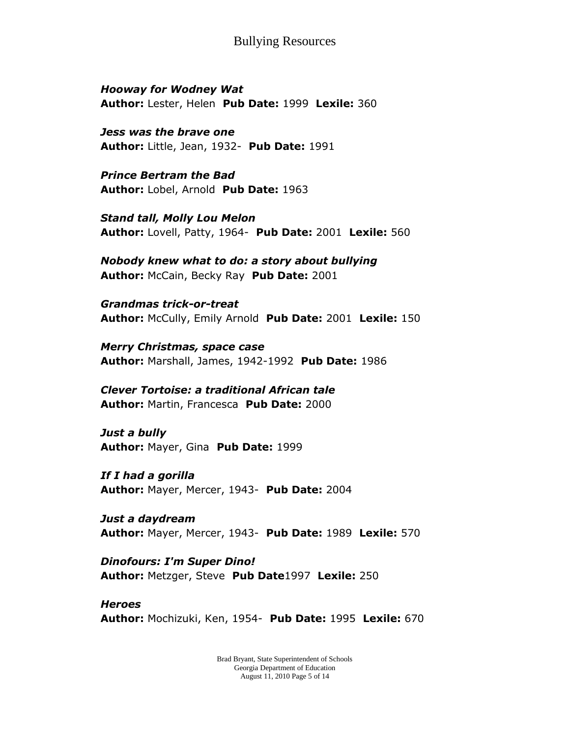*Hooway for Wodney Wat* **Author:** Lester, Helen **Pub Date:** 1999 **Lexile:** 360

*Jess was the brave one* **Author:** Little, Jean, 1932- **Pub Date:** 1991

*Prince Bertram the Bad* **Author:** Lobel, Arnold **Pub Date:** 1963

*Stand tall, Molly Lou Melon* **Author:** Lovell, Patty, 1964- **Pub Date:** 2001 **Lexile:** 560

*Nobody knew what to do: a story about bullying* **Author:** McCain, Becky Ray **Pub Date:** 2001

*Grandmas trick-or-treat* **Author:** McCully, Emily Arnold **Pub Date:** 2001 **Lexile:** 150

*Merry Christmas, space case* **Author:** Marshall, James, 1942-1992 **Pub Date:** 1986

*Clever Tortoise: a traditional African tale* **Author:** Martin, Francesca **Pub Date:** 2000

*Just a bully* **Author:** Mayer, Gina **Pub Date:** 1999

*If I had a gorilla* **Author:** Mayer, Mercer, 1943- **Pub Date:** 2004

*Just a daydream* **Author:** Mayer, Mercer, 1943- **Pub Date:** 1989 **Lexile:** 570

*Dinofours: I'm Super Dino!* **Author:** Metzger, Steve **Pub Date**1997 **Lexile:** 250

*Heroes* **Author:** Mochizuki, Ken, 1954- **Pub Date:** 1995 **Lexile:** 670

> Brad Bryant, State Superintendent of Schools Georgia Department of Education August 11, 2010 Page 5 of 14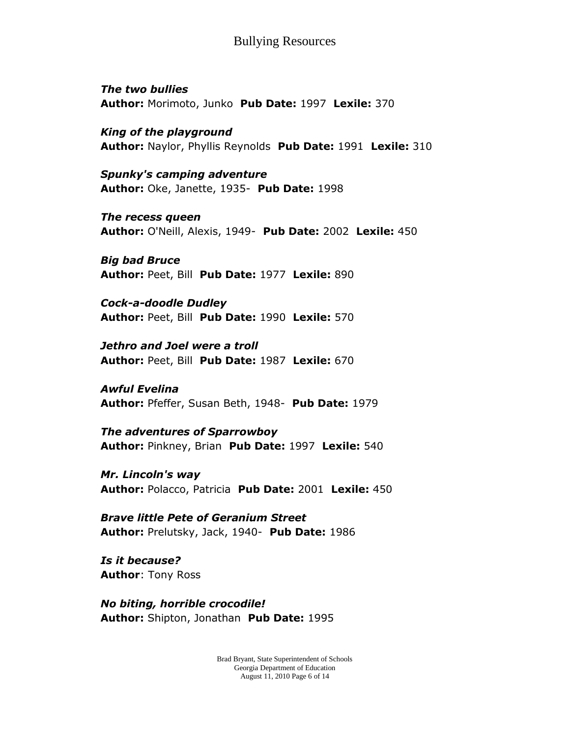*The two bullies* **Author:** Morimoto, Junko **Pub Date:** 1997 **Lexile:** 370

*King of the playground* **Author:** Naylor, Phyllis Reynolds **Pub Date:** 1991 **Lexile:** 310

*Spunky's camping adventure* **Author:** Oke, Janette, 1935- **Pub Date:** 1998

*The recess queen* **Author:** O'Neill, Alexis, 1949- **Pub Date:** 2002 **Lexile:** 450

*Big bad Bruce* **Author:** Peet, Bill **Pub Date:** 1977 **Lexile:** 890

*Cock-a-doodle Dudley* **Author:** Peet, Bill **Pub Date:** 1990 **Lexile:** 570

*Jethro and Joel were a troll* **Author:** Peet, Bill **Pub Date:** 1987 **Lexile:** 670

*Awful Evelina* **Author:** Pfeffer, Susan Beth, 1948- **Pub Date:** 1979

*The adventures of Sparrowboy* **Author:** Pinkney, Brian **Pub Date:** 1997 **Lexile:** 540

*Mr. Lincoln's way* **Author:** Polacco, Patricia **Pub Date:** 2001 **Lexile:** 450

*Brave little Pete of Geranium Street* **Author:** Prelutsky, Jack, 1940- **Pub Date:** 1986

*Is it because?* **Author**: Tony Ross

*No biting, horrible crocodile!* **Author:** Shipton, Jonathan **Pub Date:** 1995

> Brad Bryant, State Superintendent of Schools Georgia Department of Education August 11, 2010 Page 6 of 14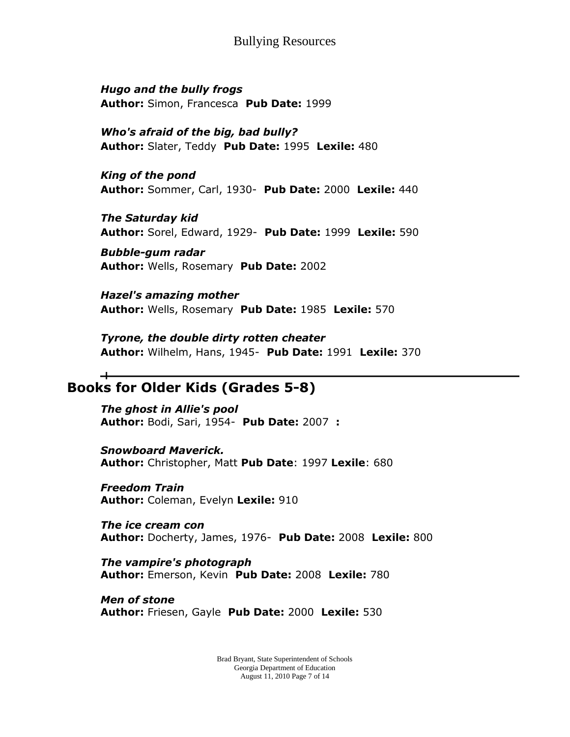*Hugo and the bully frogs* **Author:** Simon, Francesca **Pub Date:** 1999

*Who's afraid of the big, bad bully?* **Author:** Slater, Teddy **Pub Date:** 1995 **Lexile:** 480

*King of the pond* **Author:** Sommer, Carl, 1930- **Pub Date:** 2000 **Lexile:** 440

*The Saturday kid* **Author:** Sorel, Edward, 1929- **Pub Date:** 1999 **Lexile:** 590

*Bubble-gum radar* **Author:** Wells, Rosemary **Pub Date:** 2002

*Hazel's amazing mother* **Author:** Wells, Rosemary **Pub Date:** 1985 **Lexile:** 570

*Tyrone, the double dirty rotten cheater* **Author:** Wilhelm, Hans, 1945- **Pub Date:** 1991 **Lexile:** 370

#### ᆠ **Books for Older Kids (Grades 5-8)**

*The ghost in Allie's pool* **Author:** Bodi, Sari, 1954- **Pub Date:** 2007 **:**

*Snowboard Maverick.* **Author:** Christopher, Matt **Pub Date**: 1997 **Lexile**: 680

*Freedom Train* **Author:** Coleman, Evelyn **Lexile:** 910

*The ice cream con* **Author:** Docherty, James, 1976- **Pub Date:** 2008 **Lexile:** 800

*The vampire's photograph* **Author:** Emerson, Kevin **Pub Date:** 2008 **Lexile:** 780

*Men of stone* **Author:** Friesen, Gayle **Pub Date:** 2000 **Lexile:** 530

> Brad Bryant, State Superintendent of Schools Georgia Department of Education August 11, 2010 Page 7 of 14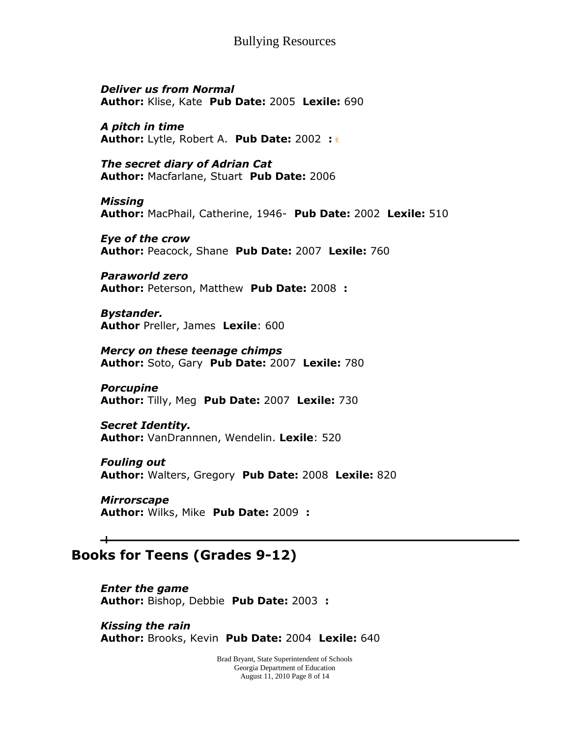*Deliver us from Normal* **Author:** Klise, Kate **Pub Date:** 2005 **Lexile:** 690

*A pitch in time* **Author:** Lytle, Robert A. **Pub Date:** 2002 **:**

*The secret diary of Adrian Cat* **Author:** Macfarlane, Stuart **Pub Date:** 2006

*Missing* **Author:** MacPhail, Catherine, 1946- **Pub Date:** 2002 **Lexile:** 510

*Eye of the crow* **Author:** Peacock, Shane **Pub Date:** 2007 **Lexile:** 760

*Paraworld zero* **Author:** Peterson, Matthew **Pub Date:** 2008 **:**

*Bystander.* **Author** Preller, James **Lexile**: 600

*Mercy on these teenage chimps* **Author:** Soto, Gary **Pub Date:** 2007 **Lexile:** 780

*Porcupine* **Author:** Tilly, Meg **Pub Date:** 2007 **Lexile:** 730

*Secret Identity.* **Author:** VanDrannnen, Wendelin. **Lexile**: 520

*Fouling out* **Author:** Walters, Gregory **Pub Date:** 2008 **Lexile:** 820

*Mirrorscape* **Author:** Wilks, Mike **Pub Date:** 2009 **:**

## **Books for Teens (Grades 9-12)**

┷

*Enter the game* **Author:** Bishop, Debbie **Pub Date:** 2003 **:**

*Kissing the rain* **Author:** Brooks, Kevin **Pub Date:** 2004 **Lexile:** 640

> Brad Bryant, State Superintendent of Schools Georgia Department of Education August 11, 2010 Page 8 of 14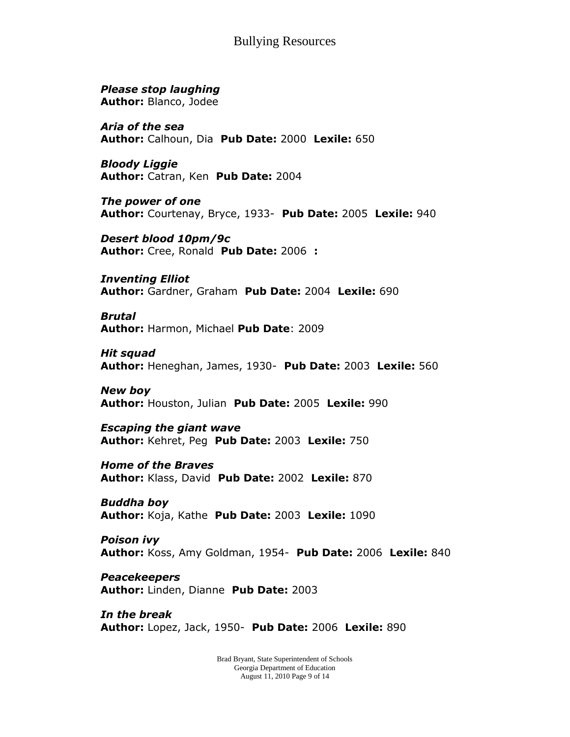*Please stop laughing* **Author:** Blanco, Jodee

*Aria of the sea* **Author:** Calhoun, Dia **Pub Date:** 2000 **Lexile:** 650

*Bloody Liggie* **Author:** Catran, Ken **Pub Date:** 2004

*The power of one* **Author:** Courtenay, Bryce, 1933- **Pub Date:** 2005 **Lexile:** 940

*Desert blood 10pm/9c* **Author:** Cree, Ronald **Pub Date:** 2006 **:**

*Inventing Elliot* **Author:** Gardner, Graham **Pub Date:** 2004 **Lexile:** 690

*Brutal* **Author:** Harmon, Michael **Pub Date**: 2009

*Hit squad* **Author:** Heneghan, James, 1930- **Pub Date:** 2003 **Lexile:** 560

*New boy* **Author:** Houston, Julian **Pub Date:** 2005 **Lexile:** 990

*Escaping the giant wave* **Author:** Kehret, Peg **Pub Date:** 2003 **Lexile:** 750

*Home of the Braves* **Author:** Klass, David **Pub Date:** 2002 **Lexile:** 870

*Buddha boy* **Author:** Koja, Kathe **Pub Date:** 2003 **Lexile:** 1090

*Poison ivy* **Author:** Koss, Amy Goldman, 1954- **Pub Date:** 2006 **Lexile:** 840

*Peacekeepers* **Author:** Linden, Dianne **Pub Date:** 2003

*In the break* **Author:** Lopez, Jack, 1950- **Pub Date:** 2006 **Lexile:** 890

> Brad Bryant, State Superintendent of Schools Georgia Department of Education August 11, 2010 Page 9 of 14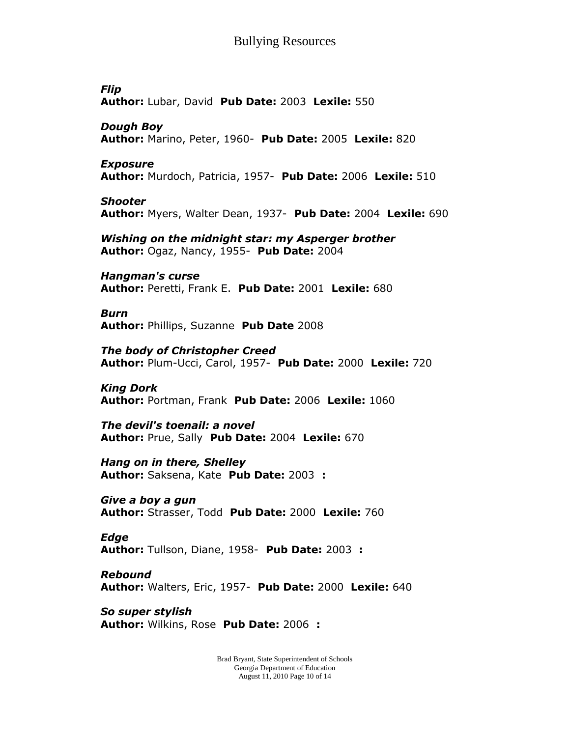*Flip* **Author:** Lubar, David **Pub Date:** 2003 **Lexile:** 550

*Dough Boy* **Author:** Marino, Peter, 1960- **Pub Date:** 2005 **Lexile:** 820

*Exposure* **Author:** Murdoch, Patricia, 1957- **Pub Date:** 2006 **Lexile:** 510

*Shooter* **Author:** Myers, Walter Dean, 1937- **Pub Date:** 2004 **Lexile:** 690

*Wishing on the midnight star: my Asperger brother* **Author:** Ogaz, Nancy, 1955- **Pub Date:** 2004

*Hangman's curse* **Author:** Peretti, Frank E. **Pub Date:** 2001 **Lexile:** 680

*Burn* **Author:** Phillips, Suzanne **Pub Date** 2008

*The body of Christopher Creed* **Author:** Plum-Ucci, Carol, 1957- **Pub Date:** 2000 **Lexile:** 720

*King Dork* **Author:** Portman, Frank **Pub Date:** 2006 **Lexile:** 1060

*The devil's toenail: a novel* **Author:** Prue, Sally **Pub Date:** 2004 **Lexile:** 670

*Hang on in there, Shelley* **Author:** Saksena, Kate **Pub Date:** 2003 **:**

*Give a boy a gun* **Author:** Strasser, Todd **Pub Date:** 2000 **Lexile:** 760

*Edge* **Author:** Tullson, Diane, 1958- **Pub Date:** 2003 **:**

*Rebound* **Author:** Walters, Eric, 1957- **Pub Date:** 2000 **Lexile:** 640

*So super stylish* **Author:** Wilkins, Rose **Pub Date:** 2006 **:**

> Brad Bryant, State Superintendent of Schools Georgia Department of Education August 11, 2010 Page 10 of 14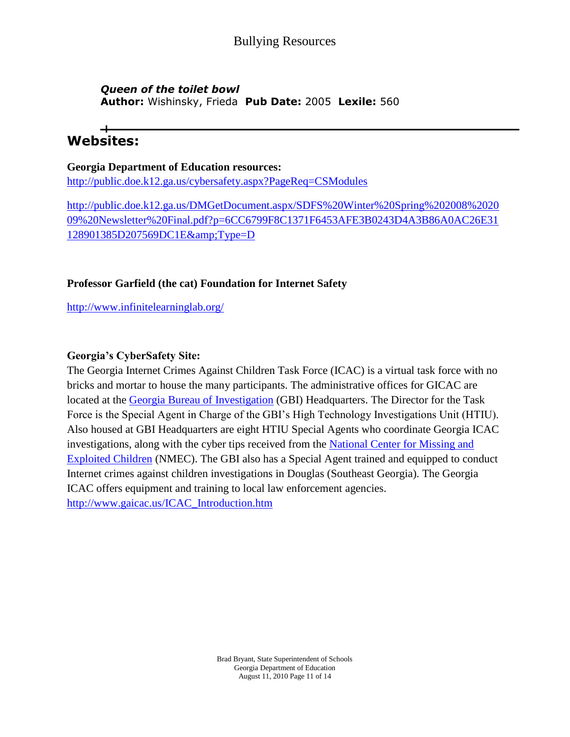## *Queen of the toilet bowl* **Author:** Wishinsky, Frieda **Pub Date:** 2005 **Lexile:** 560

# **Websites:**

#### **Georgia Department of Education resources:**

<http://public.doe.k12.ga.us/cybersafety.aspx?PageReq=CSModules>

[http://public.doe.k12.ga.us/DMGetDocument.aspx/SDFS%20Winter%20Spring%202008%2020](http://public.doe.k12.ga.us/DMGetDocument.aspx/SDFS%20Winter%20Spring%202008%202009%20Newsletter%20Final.pdf?p=6CC6799F8C1371F6453AFE3B0243D4A3B86A0AC26E31128901385D207569DC1E&Type=D) [09%20Newsletter%20Final.pdf?p=6CC6799F8C1371F6453AFE3B0243D4A3B86A0AC26E31](http://public.doe.k12.ga.us/DMGetDocument.aspx/SDFS%20Winter%20Spring%202008%202009%20Newsletter%20Final.pdf?p=6CC6799F8C1371F6453AFE3B0243D4A3B86A0AC26E31128901385D207569DC1E&Type=D) [128901385D207569DC1E&Type=D](http://public.doe.k12.ga.us/DMGetDocument.aspx/SDFS%20Winter%20Spring%202008%202009%20Newsletter%20Final.pdf?p=6CC6799F8C1371F6453AFE3B0243D4A3B86A0AC26E31128901385D207569DC1E&Type=D)

## **Professor Garfield (the cat) Foundation for Internet Safety**

<http://www.infinitelearninglab.org/>

## **Georgia's CyberSafety Site:**

The Georgia Internet Crimes Against Children Task Force (ICAC) is a virtual task force with no bricks and mortar to house the many participants. The administrative offices for GICAC are located at the [Georgia Bureau of Investigation](http://www.ganet.org/gbi) (GBI) Headquarters. The Director for the Task Force is the Special Agent in Charge of the GBI's High Technology Investigations Unit (HTIU). Also housed at GBI Headquarters are eight HTIU Special Agents who coordinate Georgia ICAC investigations, along with the cyber tips received from the [National Center for Missing and](http://www.gaicac.us/ICAC_About.htm)  [Exploited Children](http://www.gaicac.us/ICAC_About.htm) (NMEC). The GBI also has a Special Agent trained and equipped to conduct Internet crimes against children investigations in Douglas (Southeast Georgia). The Georgia ICAC offers equipment and training to local law enforcement agencies. [http://www.gaicac.us/ICAC\\_Introduction.htm](http://www.gaicac.us/ICAC_Introduction.htm)

> Brad Bryant, State Superintendent of Schools Georgia Department of Education August 11, 2010 Page 11 of 14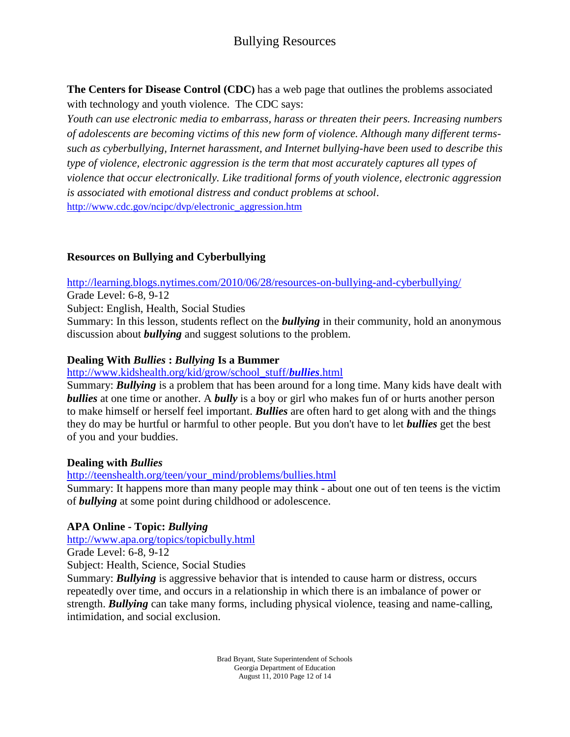**The Centers for Disease Control (CDC)** has a web page that outlines the problems associated with technology and youth violence. The CDC says:

*Youth can use electronic media to embarrass, harass or threaten their peers. Increasing numbers of adolescents are becoming victims of this new form of violence. Although many different termssuch as cyberbullying, Internet harassment, and Internet bullying-have been used to describe this type of violence, electronic aggression is the term that most accurately captures all types of violence that occur electronically. Like traditional forms of youth violence, electronic aggression is associated with emotional distress and conduct problems at school*. [http://www.cdc.gov/ncipc/dvp/electronic\\_aggression.htm](http://www.cdc.gov/ncipc/dvp/electronic_aggression.htm)

## **Resources on Bullying and Cyberbullying**

<http://learning.blogs.nytimes.com/2010/06/28/resources-on-bullying-and-cyberbullying/>

Grade Level: 6-8, 9-12

Subject: English, Health, Social Studies

Summary: In this lesson, students reflect on the *bullying* in their community, hold an anonymous discussion about *bullying* and suggest solutions to the problem.

#### **Dealing With** *Bullies* **:** *Bullying* **Is a Bummer**

#### [http://www.kidshealth.org/kid/grow/school\\_stuff/](http://www.kidshealth.org/kid/grow/school_stuff/bullies.html)*bullies*.html

Summary: *Bullying* is a problem that has been around for a long time. Many kids have dealt with *bullies* at one time or another. A *bully* is a boy or girl who makes fun of or hurts another person to make himself or herself feel important. *Bullies* are often hard to get along with and the things they do may be hurtful or harmful to other people. But you don't have to let *bullies* get the best of you and your buddies.

#### **Dealing with** *Bullies*

[http://teenshealth.org/teen/your\\_mind/problems/bullies.html](http://teenshealth.org/teen/your_mind/problems/bullies.html)

Summary: It happens more than many people may think - about one out of ten teens is the victim of *bullying* at some point during childhood or adolescence.

## **APA Online - Topic:** *Bullying*

<http://www.apa.org/topics/topicbully.html>

Grade Level: 6-8, 9-12

Subject: Health, Science, Social Studies

Summary: *Bullying* is aggressive behavior that is intended to cause harm or distress, occurs repeatedly over time, and occurs in a relationship in which there is an imbalance of power or strength. *Bullying* can take many forms, including physical violence, teasing and name-calling, intimidation, and social exclusion.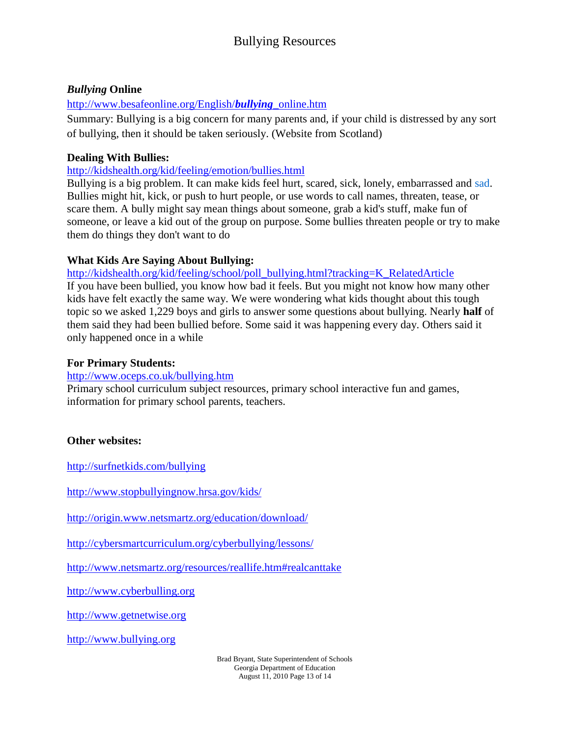## *Bullying* **Online**

## [http://www.besafeonline.org/English/](http://www.besafeonline.org/English/bullying_online.htm)*bullying*\_online.htm

Summary: Bullying is a big concern for many parents and, if your child is distressed by any sort of bullying, then it should be taken seriously. (Website from Scotland)

## **Dealing With Bullies:**

<http://kidshealth.org/kid/feeling/emotion/bullies.html>

Bullying is a big problem. It can make kids feel hurt, scared, sick, lonely, embarrassed and [sad.](http://kidshealth.org/kid/feeling/thought/sadness.html) Bullies might hit, kick, or push to hurt people, or use words to call names, threaten, tease, or scare them. A bully might say mean things about someone, grab a kid's stuff, make fun of someone, or leave a kid out of the group on purpose. Some bullies threaten people or try to make them do things they don't want to do

## **What Kids Are Saying About Bullying:**

[http://kidshealth.org/kid/feeling/school/poll\\_bullying.html?tracking=K\\_RelatedArticle](http://kidshealth.org/kid/feeling/school/poll_bullying.html?tracking=K_RelatedArticle) If you have been [bullied,](http://kidshealth.org/kid/feeling/emotion/bullies.html) you know how bad it feels. But you might not know how many other kids have felt exactly the same way. We were wondering what kids thought about this tough topic so we asked 1,229 boys and girls to answer some questions about bullying. Nearly **half** of them said they had been bullied before. Some said it was happening every day. Others said it only happened once in a while

## **For Primary Students:**

## <http://www.oceps.co.uk/bullying.htm>

Primary school curriculum subject resources, primary school interactive fun and games, information for primary school parents, teachers.

## **Other websites:**

<http://surfnetkids.com/bullying>

<http://www.stopbullyingnow.hrsa.gov/kids/>

<http://origin.www.netsmartz.org/education/download/>

[http://cybersmartcurriculum.org/cyberbullying/lessons/](https://mail.clarke.k12.ga.us/exchweb/bin/redir.asp?URL=http://cybersmartcurriculum.org/cyberbullying/lessons/)

<http://www.netsmartz.org/resources/reallife.htm#realcanttake>

[http://www.cyberbulling.org](http://www.cyberbulling.org/)

[http://www.getnetwise.org](http://www.getnetwise.org/)

[http://www.bullying.org](http://www.bullying.org/)

Brad Bryant, State Superintendent of Schools Georgia Department of Education August 11, 2010 Page 13 of 14